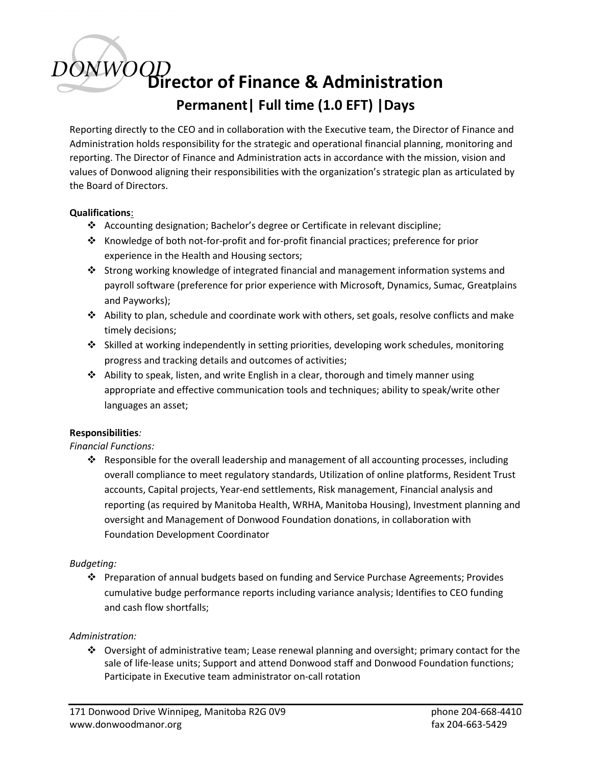# Director of Finance & Administration Permanent| Full time (1.0 EFT) |Days

Reporting directly to the CEO and in collaboration with the Executive team, the Director of Finance and Administration holds responsibility for the strategic and operational financial planning, monitoring and reporting. The Director of Finance and Administration acts in accordance with the mission, vision and values of Donwood aligning their responsibilities with the organization's strategic plan as articulated by the Board of Directors.

### Qualifications:

- Accounting designation; Bachelor's degree or Certificate in relevant discipline;
- Knowledge of both not-for-profit and for-profit financial practices; preference for prior experience in the Health and Housing sectors;
- Strong working knowledge of integrated financial and management information systems and payroll software (preference for prior experience with Microsoft, Dynamics, Sumac, Greatplains and Payworks);
- $\triangle$  Ability to plan, schedule and coordinate work with others, set goals, resolve conflicts and make timely decisions;
- Skilled at working independently in setting priorities, developing work schedules, monitoring progress and tracking details and outcomes of activities;
- $\clubsuit$  Ability to speak, listen, and write English in a clear, thorough and timely manner using appropriate and effective communication tools and techniques; ability to speak/write other languages an asset;

### Responsibilities:

Financial Functions:

 Responsible for the overall leadership and management of all accounting processes, including overall compliance to meet regulatory standards, Utilization of online platforms, Resident Trust accounts, Capital projects, Year-end settlements, Risk management, Financial analysis and reporting (as required by Manitoba Health, WRHA, Manitoba Housing), Investment planning and oversight and Management of Donwood Foundation donations, in collaboration with Foundation Development Coordinator

### Budgeting:

 Preparation of annual budgets based on funding and Service Purchase Agreements; Provides cumulative budge performance reports including variance analysis; Identifies to CEO funding and cash flow shortfalls;

#### Administration:

 Oversight of administrative team; Lease renewal planning and oversight; primary contact for the sale of life-lease units; Support and attend Donwood staff and Donwood Foundation functions; Participate in Executive team administrator on-call rotation